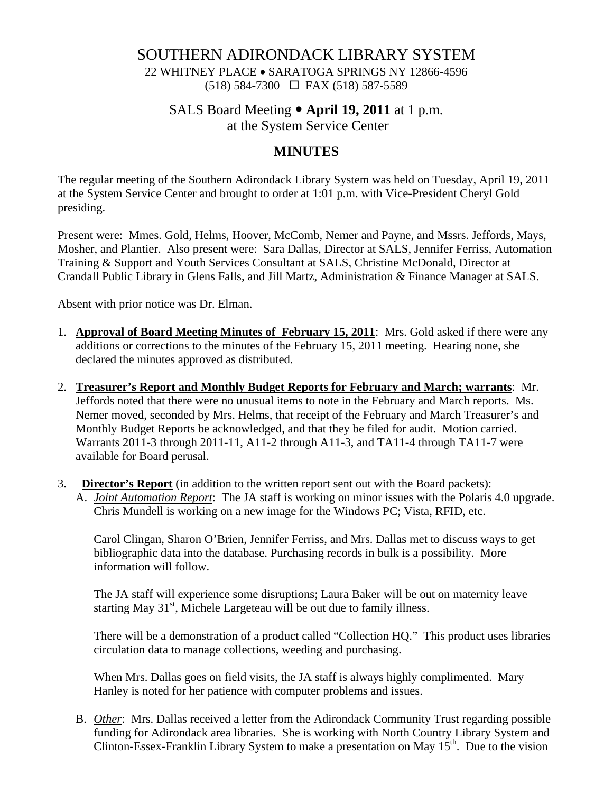SOUTHERN ADIRONDACK LIBRARY SYSTEM

22 WHITNEY PLACE • SARATOGA SPRINGS NY 12866-4596 (518) 584-7300 FAX (518) 587-5589

SALS Board Meeting • **April 19, 2011** at 1 p.m.

at the System Service Center

## **MINUTES**

The regular meeting of the Southern Adirondack Library System was held on Tuesday, April 19, 2011 at the System Service Center and brought to order at 1:01 p.m. with Vice-President Cheryl Gold presiding.

Present were: Mmes. Gold, Helms, Hoover, McComb, Nemer and Payne, and Mssrs. Jeffords, Mays, Mosher, and Plantier. Also present were: Sara Dallas, Director at SALS, Jennifer Ferriss, Automation Training & Support and Youth Services Consultant at SALS, Christine McDonald, Director at Crandall Public Library in Glens Falls, and Jill Martz, Administration & Finance Manager at SALS.

Absent with prior notice was Dr. Elman.

- 1. **Approval of Board Meeting Minutes of February 15, 2011**: Mrs. Gold asked if there were any additions or corrections to the minutes of the February 15, 2011 meeting. Hearing none, she declared the minutes approved as distributed.
- 2. **Treasurer's Report and Monthly Budget Reports for February and March; warrants**: Mr. Jeffords noted that there were no unusual items to note in the February and March reports. Ms. Nemer moved, seconded by Mrs. Helms, that receipt of the February and March Treasurer's and Monthly Budget Reports be acknowledged, and that they be filed for audit. Motion carried. Warrants 2011-3 through 2011-11, A11-2 through A11-3, and TA11-4 through TA11-7 were available for Board perusal.
- 3. **Director's Report** (in addition to the written report sent out with the Board packets): A. *Joint Automation Report*: The JA staff is working on minor issues with the Polaris 4.0 upgrade. Chris Mundell is working on a new image for the Windows PC; Vista, RFID, etc.

Carol Clingan, Sharon O'Brien, Jennifer Ferriss, and Mrs. Dallas met to discuss ways to get bibliographic data into the database. Purchasing records in bulk is a possibility. More information will follow.

The JA staff will experience some disruptions; Laura Baker will be out on maternity leave starting May  $31<sup>st</sup>$ , Michele Largeteau will be out due to family illness.

There will be a demonstration of a product called "Collection HQ." This product uses libraries circulation data to manage collections, weeding and purchasing.

When Mrs. Dallas goes on field visits, the JA staff is always highly complimented. Mary Hanley is noted for her patience with computer problems and issues.

B. *Other*: Mrs. Dallas received a letter from the Adirondack Community Trust regarding possible funding for Adirondack area libraries. She is working with North Country Library System and Clinton-Essex-Franklin Library System to make a presentation on May  $15<sup>th</sup>$ . Due to the vision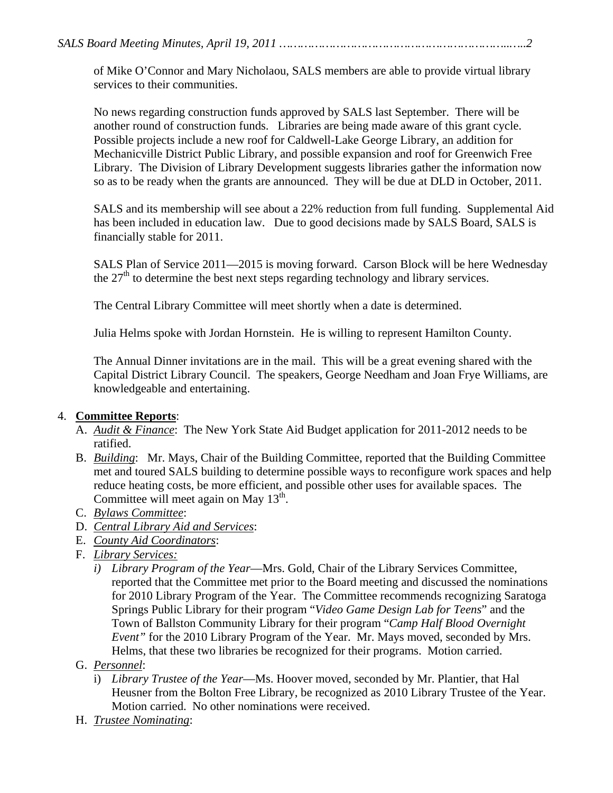of Mike O'Connor and Mary Nicholaou, SALS members are able to provide virtual library services to their communities.

No news regarding construction funds approved by SALS last September. There will be another round of construction funds. Libraries are being made aware of this grant cycle. Possible projects include a new roof for Caldwell-Lake George Library, an addition for Mechanicville District Public Library, and possible expansion and roof for Greenwich Free Library. The Division of Library Development suggests libraries gather the information now so as to be ready when the grants are announced. They will be due at DLD in October, 2011.

SALS and its membership will see about a 22% reduction from full funding. Supplemental Aid has been included in education law. Due to good decisions made by SALS Board, SALS is financially stable for 2011.

SALS Plan of Service 2011—2015 is moving forward. Carson Block will be here Wednesday the  $27<sup>th</sup>$  to determine the best next steps regarding technology and library services.

The Central Library Committee will meet shortly when a date is determined.

Julia Helms spoke with Jordan Hornstein. He is willing to represent Hamilton County.

The Annual Dinner invitations are in the mail. This will be a great evening shared with the Capital District Library Council. The speakers, George Needham and Joan Frye Williams, are knowledgeable and entertaining.

## 4. **Committee Reports**:

- A. *Audit & Finance*: The New York State Aid Budget application for 2011-2012 needs to be ratified.
- B. *Building*: Mr. Mays, Chair of the Building Committee, reported that the Building Committee met and toured SALS building to determine possible ways to reconfigure work spaces and help reduce heating costs, be more efficient, and possible other uses for available spaces. The Committee will meet again on May  $13<sup>th</sup>$ .
- C. *Bylaws Committee*:
- D. *Central Library Aid and Services*:
- E. *County Aid Coordinators*:
- F. *Library Services:* 
	- *i) Library Program of the Year*—Mrs. Gold, Chair of the Library Services Committee, reported that the Committee met prior to the Board meeting and discussed the nominations for 2010 Library Program of the Year. The Committee recommends recognizing Saratoga Springs Public Library for their program "*Video Game Design Lab for Teens*" and the Town of Ballston Community Library for their program "*Camp Half Blood Overnight Event"* for the 2010 Library Program of the Year. Mr. Mays moved, seconded by Mrs. Helms, that these two libraries be recognized for their programs. Motion carried.
- G. *Personnel*:
	- i) *Library Trustee of the Year*—Ms. Hoover moved, seconded by Mr. Plantier, that Hal Heusner from the Bolton Free Library, be recognized as 2010 Library Trustee of the Year. Motion carried. No other nominations were received.
- H. *Trustee Nominating*: